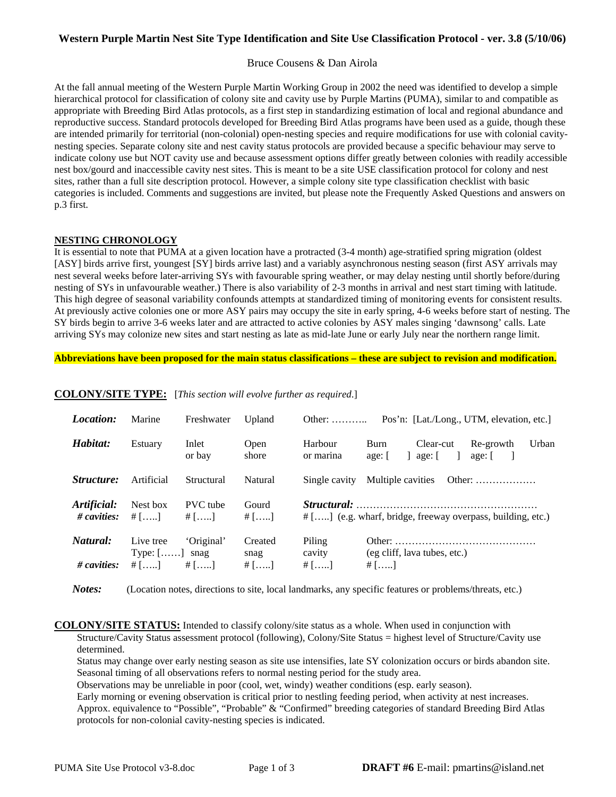## **Western Purple Martin Nest Site Type Identification and Site Use Classification Protocol - ver. 3.8 (5/10/06)**

#### Bruce Cousens & Dan Airola

At the fall annual meeting of the Western Purple Martin Working Group in 2002 the need was identified to develop a simple hierarchical protocol for classification of colony site and cavity use by Purple Martins (PUMA), similar to and compatible as appropriate with Breeding Bird Atlas protocols, as a first step in standardizing estimation of local and regional abundance and reproductive success. Standard protocols developed for Breeding Bird Atlas programs have been used as a guide, though these are intended primarily for territorial (non-colonial) open-nesting species and require modifications for use with colonial cavitynesting species. Separate colony site and nest cavity status protocols are provided because a specific behaviour may serve to indicate colony use but NOT cavity use and because assessment options differ greatly between colonies with readily accessible nest box/gourd and inaccessible cavity nest sites. This is meant to be a site USE classification protocol for colony and nest sites, rather than a full site description protocol. However, a simple colony site type classification checklist with basic categories is included. Comments and suggestions are invited, but please note the Frequently Asked Questions and answers on p.3 first.

#### **NESTING CHRONOLOGY**

It is essential to note that PUMA at a given location have a protracted (3-4 month) age-stratified spring migration (oldest [ASY] birds arrive first, youngest [SY] birds arrive last) and a variably asynchronous nesting season (first ASY arrivals may nest several weeks before later-arriving SYs with favourable spring weather, or may delay nesting until shortly before/during nesting of SYs in unfavourable weather.) There is also variability of 2-3 months in arrival and nest start timing with latitude. This high degree of seasonal variability confounds attempts at standardized timing of monitoring events for consistent results. At previously active colonies one or more ASY pairs may occupy the site in early spring, 4-6 weeks before start of nesting. The SY birds begin to arrive 3-6 weeks later and are attracted to active colonies by ASY males singing 'dawnsong' calls. Late arriving SYs may colonize new sites and start nesting as late as mid-late June or early July near the northern range limit.

**Abbreviations have been proposed for the main status classifications – these are subject to revision and modification.** 

| <i>Location:</i>                    | Marine                                             | Freshwater                 | Upland                    | Other: $\dots$              | Pos'n: [Lat./Long., UTM, elevation, etc.]                                             |
|-------------------------------------|----------------------------------------------------|----------------------------|---------------------------|-----------------------------|---------------------------------------------------------------------------------------|
| Habitat:                            | Estuary                                            | Inlet<br>or bay            | Open<br>shore             | Harbour<br>or marina        | Urban<br>Re-growth<br>Burn<br>Clear-cut<br>$\Box$<br>age: [<br>$ $ age: $ $<br>$age:$ |
| <i>Structure:</i>                   | Artificial                                         | Structural                 | Natural                   | Single cavity               | Multiple cavities<br>Other: $\dots\dots\dots\dots\dots\dots$                          |
| Artificial:<br># cavities: $\#$ []  | Nest box                                           | <b>PVC</b> tube<br># $[$ ] | Gourd<br># $[$ ]          |                             | $\#$ [] (e.g. wharf, bridge, freeway overpass, building, etc.)                        |
| Natural:<br>$\# \textit{cavities:}$ | Live tree<br>Type: $[\dots]$ snag<br># $[]$ # $[]$ | 'Original'                 | Created<br>snag<br># $[]$ | Piling<br>cavity<br># $[$ ] | (eg cliff, lava tubes, etc.)<br># $[$ ]                                               |

### **COLONY/SITE TYPE:** [*This section will evolve further as required*.]

*Notes:* (Location notes, directions to site, local landmarks, any specific features or problems/threats, etc.)

**COLONY/SITE STATUS:** Intended to classify colony/site status as a whole. When used in conjunction with Structure/Cavity Status assessment protocol (following), Colony/Site Status = highest level of Structure/Cavity use determined.

 Status may change over early nesting season as site use intensifies, late SY colonization occurs or birds abandon site. Seasonal timing of all observations refers to normal nesting period for the study area.

Observations may be unreliable in poor (cool, wet, windy) weather conditions (esp. early season).

 Early morning or evening observation is critical prior to nestling feeding period, when activity at nest increases. Approx. equivalence to "Possible", "Probable" & "Confirmed" breeding categories of standard Breeding Bird Atlas protocols for non-colonial cavity-nesting species is indicated.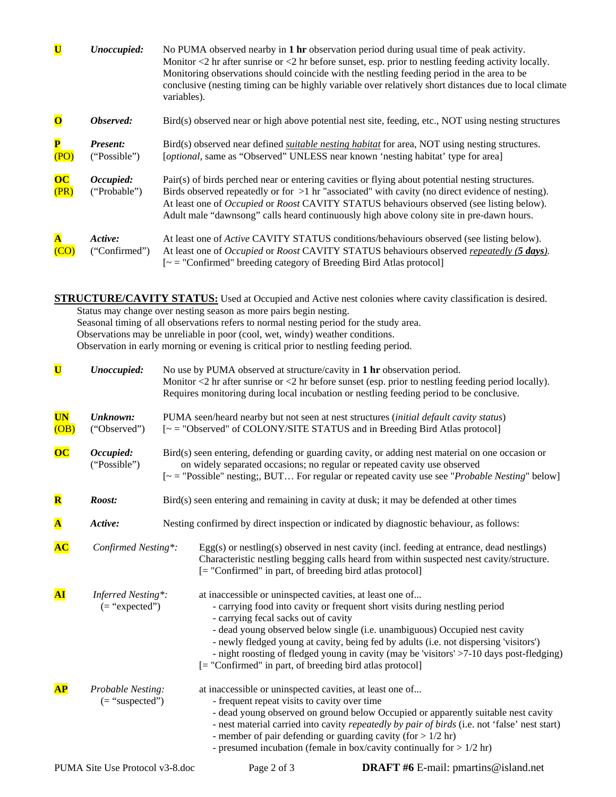| $\overline{\mathbf{U}}$ | Unoccupied:               | No PUMA observed nearby in 1 hr observation period during usual time of peak activity.<br>Monitor $\langle 2 \rangle$ hr after sunrise or $\langle 2 \rangle$ hr before sunset, esp. prior to nestling feeding activity locally.<br>Monitoring observations should coincide with the nestling feeding period in the area to be<br>conclusive (nesting timing can be highly variable over relatively short distances due to local climate<br>variables). |
|-------------------------|---------------------------|---------------------------------------------------------------------------------------------------------------------------------------------------------------------------------------------------------------------------------------------------------------------------------------------------------------------------------------------------------------------------------------------------------------------------------------------------------|
| $\overline{\mathbf{O}}$ | Observed:                 | Bird(s) observed near or high above potential nest site, feeding, etc., NOT using nesting structures                                                                                                                                                                                                                                                                                                                                                    |
| $\mathbf{P}$<br>(PO)    | Present:<br>("Possible")  | Bird(s) observed near defined <i>suitable nesting habitat</i> for area, NOT using nesting structures.<br>[optional, same as "Observed" UNLESS near known 'nesting habitat' type for area]                                                                                                                                                                                                                                                               |
| $\overline{OC}$<br>(PR) | Occupied:<br>("Probable") | Pair(s) of birds perched near or entering cavities or flying about potential nesting structures.<br>Birds observed repeatedly or for $>1$ hr "associated" with cavity (no direct evidence of nesting).<br>At least one of <i>Occupied</i> or <i>Roost</i> CAVITY STATUS behaviours observed (see listing below).<br>Adult male "dawnsong" calls heard continuously high above colony site in pre-dawn hours.                                            |
|                         | Active:<br>("Confirmed")  | At least one of <i>Active</i> CAVITY STATUS conditions/behaviours observed (see listing below).<br>At least one of <i>Occupied</i> or <i>Roost</i> CAVITY STATUS behaviours observed <i>repeatedly</i> (5 <i>days</i> ).<br>$[-$ = "Confirmed" breeding category of Breeding Bird Atlas protocol]                                                                                                                                                       |

**STRUCTURE/CAVITY STATUS:** Used at Occupied and Active nest colonies where cavity classification is desired. Status may change over nesting season as more pairs begin nesting. Seasonal timing of all observations refers to normal nesting period for the study area. Observations may be unreliable in poor (cool, wet, windy) weather conditions. Observation in early morning or evening is critical prior to nestling feeding period.

| $\overline{\mathbf{U}}$ | Unoccupied:                             |                                                                                          | No use by PUMA observed at structure/cavity in 1 hr observation period.<br>Monitor $\langle 2 \text{ hr} \rangle$ after sunrise or $\langle 2 \text{ hr} \rangle$ before sunset (esp. prior to nestling feeding period locally).<br>Requires monitoring during local incubation or nestling feeding period to be conclusive.                                                                                                                                                                                   |                                             |  |  |  |
|-------------------------|-----------------------------------------|------------------------------------------------------------------------------------------|----------------------------------------------------------------------------------------------------------------------------------------------------------------------------------------------------------------------------------------------------------------------------------------------------------------------------------------------------------------------------------------------------------------------------------------------------------------------------------------------------------------|---------------------------------------------|--|--|--|
| <b>UN</b><br>(OB)       | Unknown:<br>("Observed")                |                                                                                          | PUMA seen/heard nearby but not seen at nest structures (initial default cavity status)<br>[~ = "Observed" of COLONY/SITE STATUS and in Breeding Bird Atlas protocol]                                                                                                                                                                                                                                                                                                                                           |                                             |  |  |  |
| $\overline{OC}$         | Occupied:<br>("Possible")               |                                                                                          | Bird(s) seen entering, defending or guarding cavity, or adding nest material on one occasion or<br>on widely separated occasions; no regular or repeated cavity use observed<br>$\lbrack \sim$ = "Possible" nesting;, BUT For regular or repeated cavity use see " <i>Probable Nesting</i> " below]                                                                                                                                                                                                            |                                             |  |  |  |
| $\overline{\mathbf{R}}$ | Roost:                                  |                                                                                          | Bird(s) seen entering and remaining in cavity at dusk; it may be defended at other times                                                                                                                                                                                                                                                                                                                                                                                                                       |                                             |  |  |  |
| $\overline{\mathbf{A}}$ | Active:                                 | Nesting confirmed by direct inspection or indicated by diagnostic behaviour, as follows: |                                                                                                                                                                                                                                                                                                                                                                                                                                                                                                                |                                             |  |  |  |
| AC                      | Confirmed Nesting*:                     |                                                                                          | $Egg(s)$ or nestling(s) observed in nest cavity (incl. feeding at entrance, dead nestlings)<br>Characteristic nestling begging calls heard from within suspected nest cavity/structure.<br>[= "Confirmed" in part, of breeding bird atlas protocol]                                                                                                                                                                                                                                                            |                                             |  |  |  |
| ${\bf AI}$              | Inferred Nesting*:<br>$($ = "expected") |                                                                                          | at inaccessible or uninspected cavities, at least one of<br>- carrying food into cavity or frequent short visits during nestling period<br>- carrying fecal sacks out of cavity<br>- dead young observed below single (i.e. unambiguous) Occupied nest cavity<br>- newly fledged young at cavity, being fed by adults (i.e. not dispersing 'visitors')<br>- night roosting of fledged young in cavity (may be 'visitors' >7-10 days post-fledging)<br>[= "Confirmed" in part, of breeding bird atlas protocol] |                                             |  |  |  |
| AP                      | Probable Nesting:<br>$($ = "suspected") |                                                                                          | at inaccessible or uninspected cavities, at least one of<br>- frequent repeat visits to cavity over time<br>- dead young observed on ground below Occupied or apparently suitable nest cavity<br>- nest material carried into cavity repeatedly by pair of birds (i.e. not 'false' nest start)<br>- member of pair defending or guarding cavity (for $> 1/2$ hr)<br>- presumed incubation (female in box/cavity continually for $> 1/2$ hr)                                                                    |                                             |  |  |  |
|                         | PUMA Site Use Protocol v3-8.doc         |                                                                                          | Page 2 of 3                                                                                                                                                                                                                                                                                                                                                                                                                                                                                                    | <b>DRAFT</b> #6 E-mail: pmartins@island.net |  |  |  |